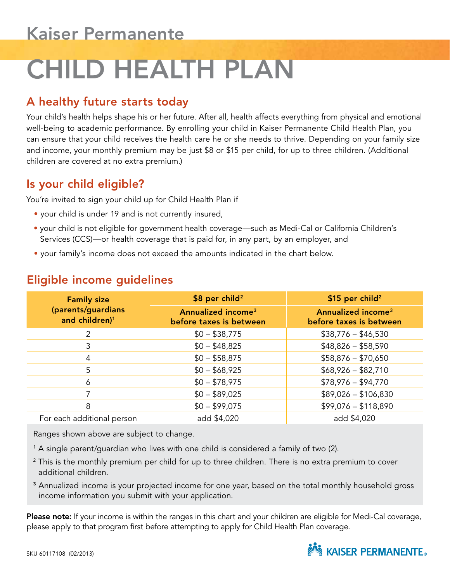# CHILD HEALTH PLAN

# A healthy future starts today

Your child's health helps shape his or her future. After all, health affects everything from physical and emotional well-being to academic performance. By enrolling your child in Kaiser Permanente Child Health Plan, you can ensure that your child receives the health care he or she needs to thrive. Depending on your family size and income, your monthly premium may be just \$8 or \$15 per child, for up to three children. (Additional children are covered at no extra premium.)

### Is your child eligible?

You're invited to sign your child up for Child Health Plan if

- your child is under 19 and is not currently insured,
- your child is not eligible for government health coverage—such as Medi-Cal or California Children's Services (CCS)—or health coverage that is paid for, in any part, by an employer, and
- your family's income does not exceed the amounts indicated in the chart below.

| <b>Family size</b><br>(parents/guardians<br>and children) <sup>1</sup> | \$8 per child <sup>2</sup>                                | \$15 per child <sup>2</sup>                               |
|------------------------------------------------------------------------|-----------------------------------------------------------|-----------------------------------------------------------|
|                                                                        | Annualized income <sup>3</sup><br>before taxes is between | Annualized income <sup>3</sup><br>before taxes is between |
| 2                                                                      | $$0 - $38,775$                                            | $$38,776 - $46,530$                                       |
| 3                                                                      | $$0 - $48,825$                                            | $$48,826 - $58,590$                                       |
| 4                                                                      | $$0 - $58,875$                                            | $$58,876 - $70,650$                                       |
| 5                                                                      | $$0 - $68,925$                                            | $$68,926 - $82,710$                                       |
| 6                                                                      | $$0 - $78,975$                                            | $$78,976 - $94,770$                                       |
|                                                                        | $$0 - $89,025$                                            | $$89,026 - $106,830$                                      |
| 8                                                                      | $$0 - $99,075$                                            | $$99,076 - $118,890$                                      |
| For each additional person                                             | add \$4,020                                               | add \$4,020                                               |

### Eligible income guidelines

Ranges shown above are subject to change.

- <sup>1</sup> A single parent/guardian who lives with one child is considered a family of two (2).
- <sup>2</sup> This is the monthly premium per child for up to three children. There is no extra premium to cover additional children.
- <sup>3</sup> Annualized income is your projected income for one year, based on the total monthly household gross income information you submit with your application.

Please note: If your income is within the ranges in this chart and your children are eligible for Medi-Cal coverage, please apply to that program first before attempting to apply for Child Health Plan coverage.